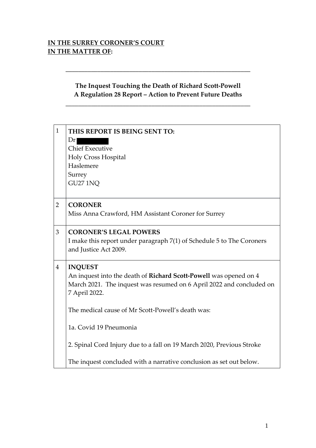### **IN THE SURREY CORONER'S COURT IN THE MATTER OF:**

# **The Inquest Touching the Death of Richard Scott-Powell A Regulation 28 Report – Action to Prevent Future Deaths**

\_\_\_\_\_\_\_\_\_\_\_\_\_\_\_\_\_\_\_\_\_\_\_\_\_\_\_\_\_\_\_\_\_\_\_\_\_\_\_\_\_\_\_\_\_\_\_\_\_\_\_\_\_\_\_\_\_\_

**\_\_\_\_\_\_\_\_\_\_\_\_\_\_\_\_\_\_\_\_\_\_\_\_\_\_\_\_\_\_\_\_\_\_\_\_\_\_\_\_\_\_\_\_\_\_\_\_\_\_\_\_\_\_\_\_\_\_**

| $\mathbf{1}$   | THIS REPORT IS BEING SENT TO:                                         |
|----------------|-----------------------------------------------------------------------|
|                | Dr <sub>l</sub>                                                       |
|                | <b>Chief Executive</b>                                                |
|                | Holy Cross Hospital                                                   |
|                | Haslemere                                                             |
|                | Surrey                                                                |
|                | <b>GU27 1NQ</b>                                                       |
|                |                                                                       |
| $\overline{2}$ | <b>CORONER</b>                                                        |
|                | Miss Anna Crawford, HM Assistant Coroner for Surrey                   |
|                |                                                                       |
| 3              | <b>CORONER'S LEGAL POWERS</b>                                         |
|                | I make this report under paragraph 7(1) of Schedule 5 to The Coroners |
|                | and Justice Act 2009.                                                 |
|                |                                                                       |
| $\overline{4}$ | <b>INQUEST</b>                                                        |
|                | An inquest into the death of Richard Scott-Powell was opened on 4     |
|                | March 2021. The inquest was resumed on 6 April 2022 and concluded on  |
|                | 7 April 2022.                                                         |
|                |                                                                       |
|                | The medical cause of Mr Scott-Powell's death was:                     |
|                | 1a. Covid 19 Pneumonia                                                |
|                |                                                                       |
|                | 2. Spinal Cord Injury due to a fall on 19 March 2020, Previous Stroke |
|                |                                                                       |
|                | The inquest concluded with a narrative conclusion as set out below.   |
|                |                                                                       |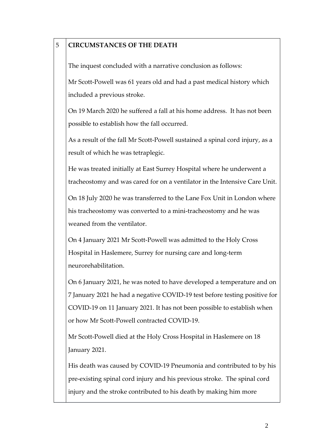| 5 | <b>CIRCUMSTANCES OF THE DEATH</b>                                                                                                                                                                                     |
|---|-----------------------------------------------------------------------------------------------------------------------------------------------------------------------------------------------------------------------|
|   | The inquest concluded with a narrative conclusion as follows:                                                                                                                                                         |
|   | Mr Scott-Powell was 61 years old and had a past medical history which                                                                                                                                                 |
|   | included a previous stroke.                                                                                                                                                                                           |
|   | On 19 March 2020 he suffered a fall at his home address. It has not been<br>possible to establish how the fall occurred.                                                                                              |
|   | As a result of the fall Mr Scott-Powell sustained a spinal cord injury, as a<br>result of which he was tetraplegic.                                                                                                   |
|   | He was treated initially at East Surrey Hospital where he underwent a<br>tracheostomy and was cared for on a ventilator in the Intensive Care Unit.                                                                   |
|   | On 18 July 2020 he was transferred to the Lane Fox Unit in London where<br>his tracheostomy was converted to a mini-tracheostomy and he was<br>weaned from the ventilator.                                            |
|   | On 4 January 2021 Mr Scott-Powell was admitted to the Holy Cross<br>Hospital in Haslemere, Surrey for nursing care and long-term<br>neurorehabilitation.                                                              |
|   | On 6 January 2021, he was noted to have developed a temperature and on<br>7 January 2021 he had a negative COVID-19 test before testing positive for                                                                  |
|   | COVID-19 on 11 January 2021. It has not been possible to establish when<br>or how Mr Scott-Powell contracted COVID-19.                                                                                                |
|   | Mr Scott-Powell died at the Holy Cross Hospital in Haslemere on 18<br>January 2021.                                                                                                                                   |
|   | His death was caused by COVID-19 Pneumonia and contributed to by his<br>pre-existing spinal cord injury and his previous stroke. The spinal cord<br>injury and the stroke contributed to his death by making him more |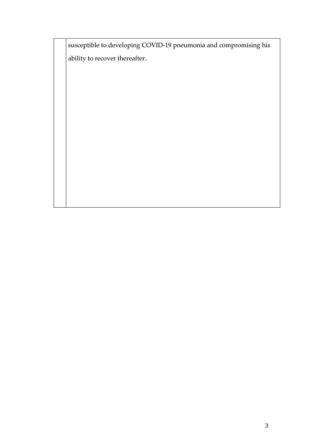susceptible to developing COVID-19 pneumonia and compromising his ability to recover thereafter.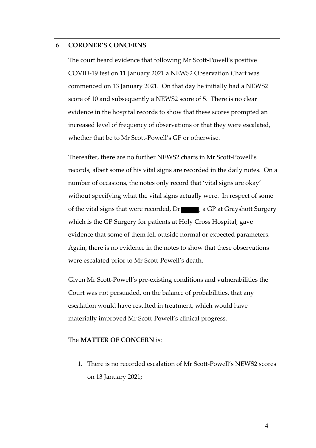### 6 **CORONER'S CONCERNS**

The court heard evidence that following Mr Scott-Powell's positive COVID-19 test on 11 January 2021 a NEWS2 Observation Chart was commenced on 13 January 2021. On that day he initially had a NEWS2 score of 10 and subsequently a NEWS2 score of 5. There is no clear evidence in the hospital records to show that these scores prompted an increased level of frequency of observations or that they were escalated, whether that be to Mr Scott-Powell's GP or otherwise.

Thereafter, there are no further NEWS2 charts in Mr Scott-Powell's records, albeit some of his vital signs are recorded in the daily notes. On a number of occasions, the notes only record that 'vital signs are okay' without specifying what the vital signs actually were. In respect of some of the vital signs that were recorded, Dr  $\blacksquare$ , a GP at Grayshott Surgery which is the GP Surgery for patients at Holy Cross Hospital, gave evidence that some of them fell outside normal or expected parameters. Again, there is no evidence in the notes to show that these observations were escalated prior to Mr Scott-Powell's death.

Given Mr Scott-Powell's pre-existing conditions and vulnerabilities the Court was not persuaded, on the balance of probabilities, that any escalation would have resulted in treatment, which would have materially improved Mr Scott-Powell's clinical progress.

#### The **MATTER OF CONCERN** is:

1. There is no recorded escalation of Mr Scott-Powell's NEWS2 scores on 13 January 2021;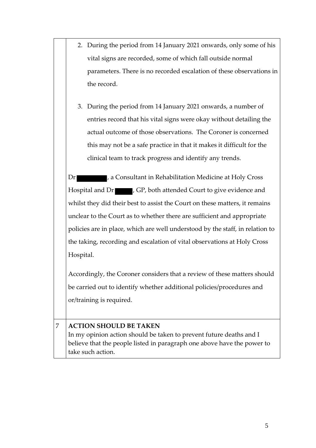| 2. During the period from 14 January 2021 onwards, only some of his  |
|----------------------------------------------------------------------|
| vital signs are recorded, some of which fall outside normal          |
| parameters. There is no recorded escalation of these observations in |
| the record.                                                          |

3. During the period from 14 January 2021 onwards, a number of entries record that his vital signs were okay without detailing the actual outcome of those observations. The Coroner is concerned this may not be a safe practice in that it makes it difficult for the clinical team to track progress and identify any trends.

Dr **Example 20**, a Consultant in Rehabilitation Medicine at Holy Cross Hospital and Dr , GP, both attended Court to give evidence and whilst they did their best to assist the Court on these matters, it remains unclear to the Court as to whether there are sufficient and appropriate policies are in place, which are well understood by the staff, in relation to the taking, recording and escalation of vital observations at Holy Cross Hospital.

Accordingly, the Coroner considers that a review of these matters should be carried out to identify whether additional policies/procedures and or/training is required.

## 7 **ACTION SHOULD BE TAKEN**

In my opinion action should be taken to prevent future deaths and I believe that the people listed in paragraph one above have the power to take such action.